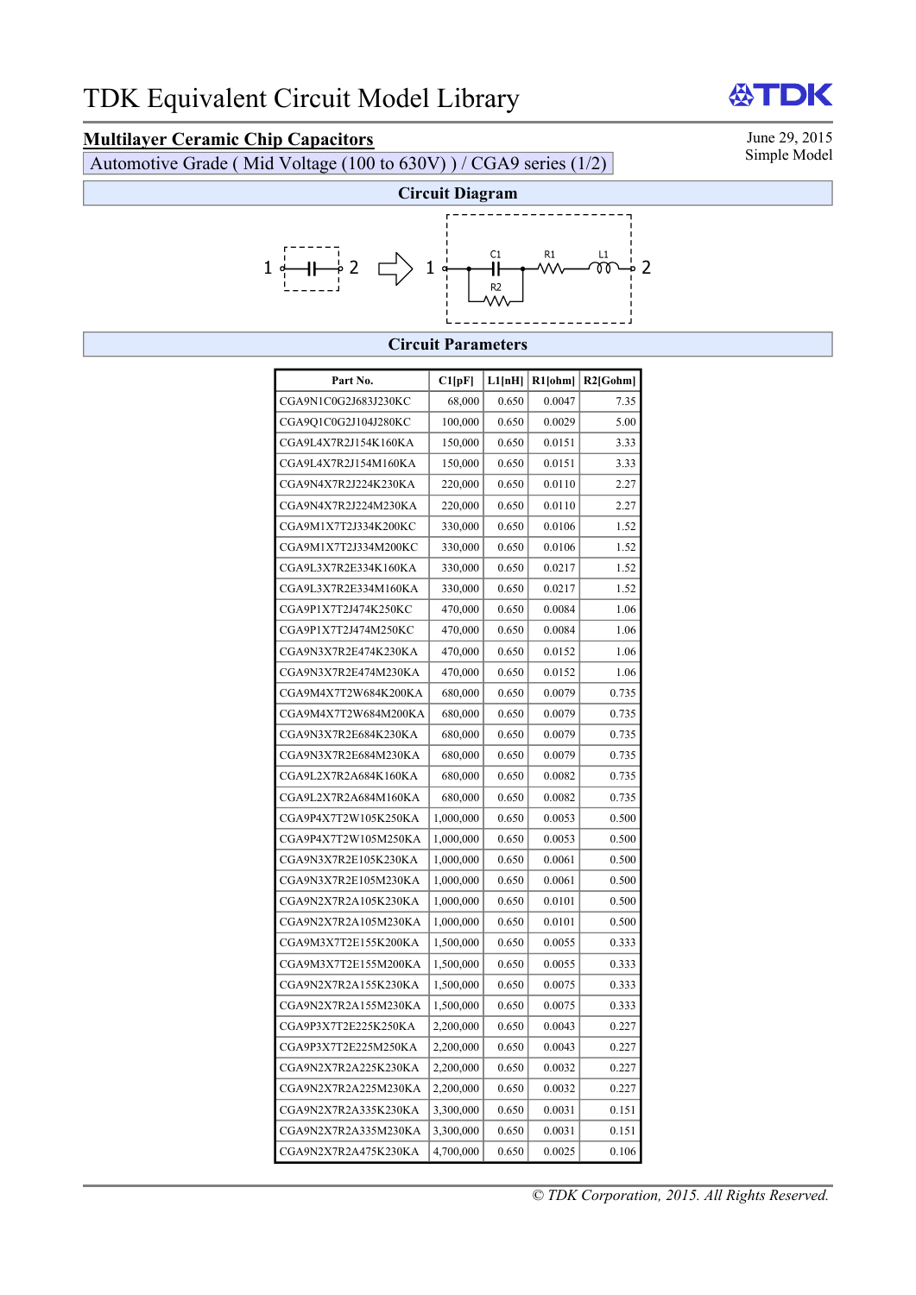## **Multilayer Ceramic Chip Capacitors** June 29, 2015<br>Automotive Grade (Mid Voltage (100 to 630V)) / CGA0 series (1/2) Simple Model

Automotive Grade ( Mid Voltage (100 to 630V) ) / CGA9 series (1/2)



## **Circuit Parameters**

| Part No.             | Cl[pF]    | L1[nH] | R1[ohm] | R2[Gohm] |
|----------------------|-----------|--------|---------|----------|
| CGA9N1C0G2J683J230KC | 68,000    | 0.650  | 0.0047  | 7.35     |
| CGA9O1C0G2J104J280KC | 100,000   | 0.650  | 0.0029  | 5.00     |
| CGA9L4X7R2J154K160KA | 150,000   | 0.650  | 0.0151  | 3.33     |
| CGA9L4X7R2J154M160KA | 150,000   | 0.650  | 0.0151  | 3.33     |
| CGA9N4X7R2J224K230KA | 220,000   | 0.650  | 0.0110  | 2.27     |
| CGA9N4X7R2J224M230KA | 220,000   | 0.650  | 0.0110  | 2.27     |
| CGA9M1X7T2J334K200KC | 330,000   | 0.650  | 0.0106  | 1.52     |
| CGA9M1X7T2J334M200KC | 330,000   | 0.650  | 0.0106  | 1.52     |
| CGA9L3X7R2E334K160KA | 330,000   | 0.650  | 0.0217  | 1.52     |
| CGA9L3X7R2E334M160KA | 330,000   | 0.650  | 0.0217  | 1.52     |
| CGA9P1X7T2J474K250KC | 470,000   | 0.650  | 0.0084  | 1.06     |
| CGA9P1X7T2J474M250KC | 470,000   | 0.650  | 0.0084  | 1.06     |
| CGA9N3X7R2E474K230KA | 470,000   | 0.650  | 0.0152  | 1.06     |
| CGA9N3X7R2E474M230KA | 470,000   | 0.650  | 0.0152  | 1.06     |
| CGA9M4X7T2W684K200KA | 680,000   | 0.650  | 0.0079  | 0.735    |
| CGA9M4X7T2W684M200KA | 680,000   | 0.650  | 0.0079  | 0.735    |
| CGA9N3X7R2E684K230KA | 680,000   | 0.650  | 0.0079  | 0.735    |
| CGA9N3X7R2E684M230KA | 680,000   | 0.650  | 0.0079  | 0.735    |
| CGA9L2X7R2A684K160KA | 680,000   | 0.650  | 0.0082  | 0.735    |
| CGA9L2X7R2A684M160KA | 680,000   | 0.650  | 0.0082  | 0.735    |
| CGA9P4X7T2W105K250KA | 1,000,000 | 0.650  | 0.0053  | 0.500    |
| CGA9P4X7T2W105M250KA | 1,000,000 | 0.650  | 0.0053  | 0.500    |
| CGA9N3X7R2E105K230KA | 1,000,000 | 0.650  | 0.0061  | 0.500    |
| CGA9N3X7R2E105M230KA | 1,000,000 | 0.650  | 0.0061  | 0.500    |
| CGA9N2X7R2A105K230KA | 1,000,000 | 0.650  | 0.0101  | 0.500    |
| CGA9N2X7R2A105M230KA | 1,000,000 | 0.650  | 0.0101  | 0.500    |
| CGA9M3X7T2E155K200KA | 1,500,000 | 0.650  | 0.0055  | 0.333    |
| CGA9M3X7T2E155M200KA | 1,500,000 | 0.650  | 0.0055  | 0.333    |
| CGA9N2X7R2A155K230KA | 1,500,000 | 0.650  | 0.0075  | 0.333    |
| CGA9N2X7R2A155M230KA | 1,500,000 | 0.650  | 0.0075  | 0.333    |
| CGA9P3X7T2E225K250KA | 2,200,000 | 0.650  | 0.0043  | 0.227    |
| CGA9P3X7T2E225M250KA | 2,200,000 | 0.650  | 0.0043  | 0.227    |
| CGA9N2X7R2A225K230KA | 2,200,000 | 0.650  | 0.0032  | 0.227    |
| CGA9N2X7R2A225M230KA | 2,200,000 | 0.650  | 0.0032  | 0.227    |
| CGA9N2X7R2A335K230KA | 3,300,000 | 0.650  | 0.0031  | 0.151    |
| CGA9N2X7R2A335M230KA | 3,300,000 | 0.650  | 0.0031  | 0.151    |
| CGA9N2X7R2A475K230KA | 4,700,000 | 0.650  | 0.0025  | 0.106    |

DK 份

*© TDK Corporation, 2015. All Rights Reserved.*